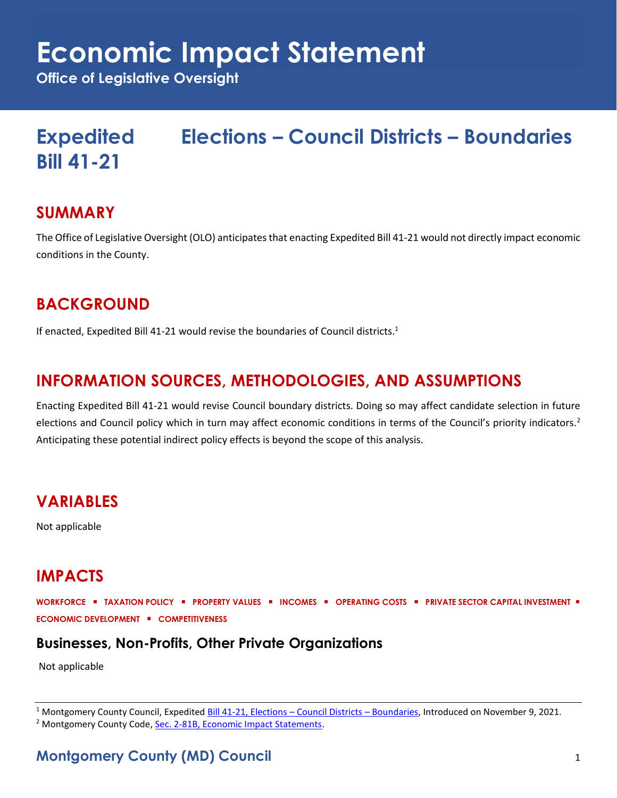# **Economic Impact Statement**

**Office of Legislative Oversight**

## **Expedited Elections – Council Districts – Boundaries Bill 41-21**

#### **SUMMARY**

The Office of Legislative Oversight (OLO) anticipates that enacting Expedited Bill 41-21 would not directly impact economic conditions in the County.

## **BACKGROUND**

If enacted, Expedited Bill 41-21 would revise the boundaries of Council districts.<sup>1</sup>

## **INFORMATION SOURCES, METHODOLOGIES, AND ASSUMPTIONS**

Enacting Expedited Bill 41-21 would revise Council boundary districts. Doing so may affect candidate selection in future elections and Council policy which in turn may affect economic conditions in terms of the Council's priority indicators.<sup>2</sup> Anticipating these potential indirect policy effects is beyond the scope of this analysis.

## **VARIABLES**

Not applicable

## **IMPACTS**

**WORKFORCE** ▪ **TAXATION POLICY** ▪ **PROPERTY VALUES** ▪ **INCOMES** ▪ **OPERATING COSTS** ▪ **PRIVATE SECTOR CAPITAL INVESTMENT** ▪ **ECONOMIC DEVELOPMENT** ▪ **COMPETITIVENESS**

#### **Businesses, Non-Profits, Other Private Organizations**

Not applicable

 $1$  Montgomery County Council, Expedited [Bill 41-21, Elections](https://apps.montgomerycountymd.gov/ccllims/DownloadFilePage?FileName=2732_1_17803_Bill_41-2021_Introduction_20211109.pdf) – Council Districts – Boundaries, Introduced on November 9, 2021. <sup>2</sup> Montgomery County Code, [Sec. 2-81B, Economic Impact Statements.](https://codelibrary.amlegal.com/codes/montgomerycounty/latest/montgomeryco_md/0-0-0-80894)

**Montgomery County (MD) Council** 1